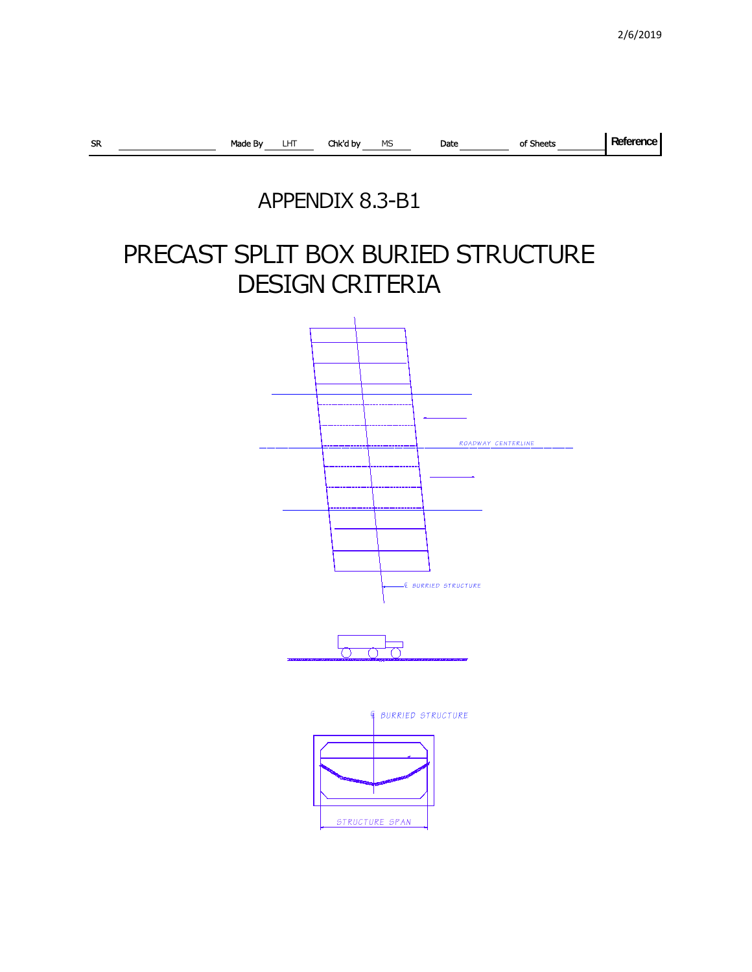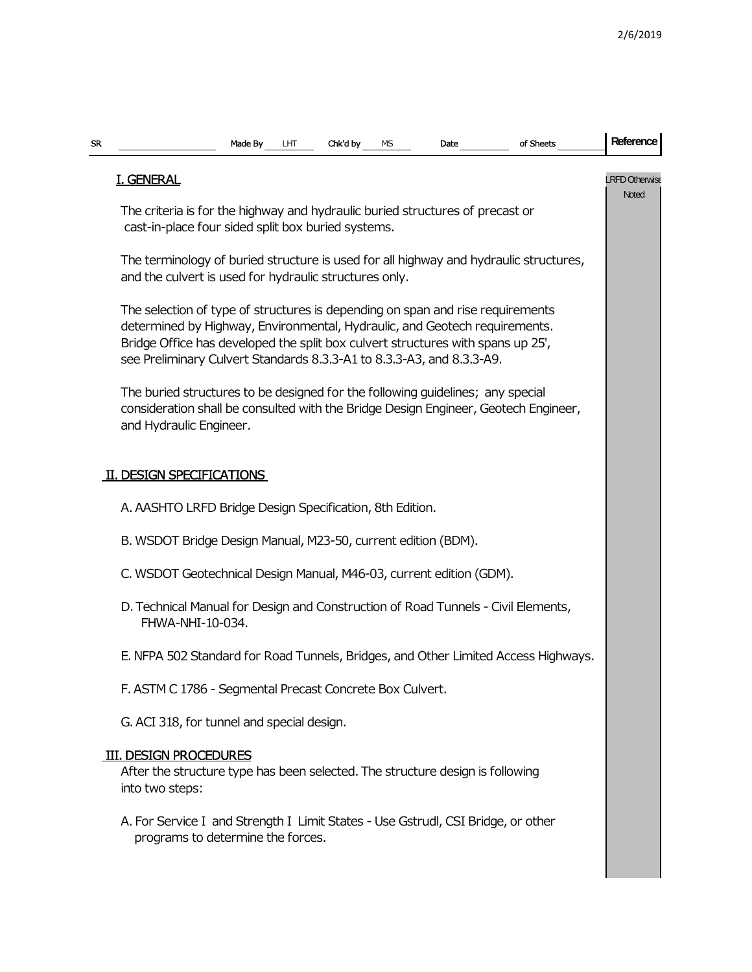| <b>SR</b> | Made By<br>Chk'd by<br>of Sheets<br>LНТ<br>MS<br>Date                                                                                                                                                                                                                                                                    | Reference               |  |  |  |  |  |  |  |  |  |  |
|-----------|--------------------------------------------------------------------------------------------------------------------------------------------------------------------------------------------------------------------------------------------------------------------------------------------------------------------------|-------------------------|--|--|--|--|--|--|--|--|--|--|
|           | <b>I. GENERAL</b>                                                                                                                                                                                                                                                                                                        | LRFD Otherwise<br>Noted |  |  |  |  |  |  |  |  |  |  |
|           | The criteria is for the highway and hydraulic buried structures of precast or<br>cast-in-place four sided split box buried systems.                                                                                                                                                                                      |                         |  |  |  |  |  |  |  |  |  |  |
|           | The terminology of buried structure is used for all highway and hydraulic structures,<br>and the culvert is used for hydraulic structures only.                                                                                                                                                                          |                         |  |  |  |  |  |  |  |  |  |  |
|           | The selection of type of structures is depending on span and rise requirements<br>determined by Highway, Environmental, Hydraulic, and Geotech requirements.<br>Bridge Office has developed the split box culvert structures with spans up 25',<br>see Preliminary Culvert Standards 8.3.3-A1 to 8.3.3-A3, and 8.3.3-A9. |                         |  |  |  |  |  |  |  |  |  |  |
|           | The buried structures to be designed for the following guidelines; any special<br>consideration shall be consulted with the Bridge Design Engineer, Geotech Engineer,<br>and Hydraulic Engineer.                                                                                                                         |                         |  |  |  |  |  |  |  |  |  |  |
|           | <b>DESIGN SPECIFICATIONS</b>                                                                                                                                                                                                                                                                                             |                         |  |  |  |  |  |  |  |  |  |  |
|           | A. AASHTO LRFD Bridge Design Specification, 8th Edition.                                                                                                                                                                                                                                                                 |                         |  |  |  |  |  |  |  |  |  |  |
|           | B. WSDOT Bridge Design Manual, M23-50, current edition (BDM).                                                                                                                                                                                                                                                            |                         |  |  |  |  |  |  |  |  |  |  |
|           | C. WSDOT Geotechnical Design Manual, M46-03, current edition (GDM).                                                                                                                                                                                                                                                      |                         |  |  |  |  |  |  |  |  |  |  |
|           | D. Technical Manual for Design and Construction of Road Tunnels - Civil Elements,<br>FHWA-NHI-10-034.                                                                                                                                                                                                                    |                         |  |  |  |  |  |  |  |  |  |  |
|           | E. NFPA 502 Standard for Road Tunnels, Bridges, and Other Limited Access Highways.                                                                                                                                                                                                                                       |                         |  |  |  |  |  |  |  |  |  |  |
|           | F. ASTM C 1786 - Segmental Precast Concrete Box Culvert.                                                                                                                                                                                                                                                                 |                         |  |  |  |  |  |  |  |  |  |  |
|           | G. ACI 318, for tunnel and special design.                                                                                                                                                                                                                                                                               |                         |  |  |  |  |  |  |  |  |  |  |
|           | <b>III. DESIGN PROCEDURES</b><br>After the structure type has been selected. The structure design is following<br>into two steps:                                                                                                                                                                                        |                         |  |  |  |  |  |  |  |  |  |  |
|           | A. For Service I and Strength I Limit States - Use Gstrudl, CSI Bridge, or other<br>programs to determine the forces.                                                                                                                                                                                                    |                         |  |  |  |  |  |  |  |  |  |  |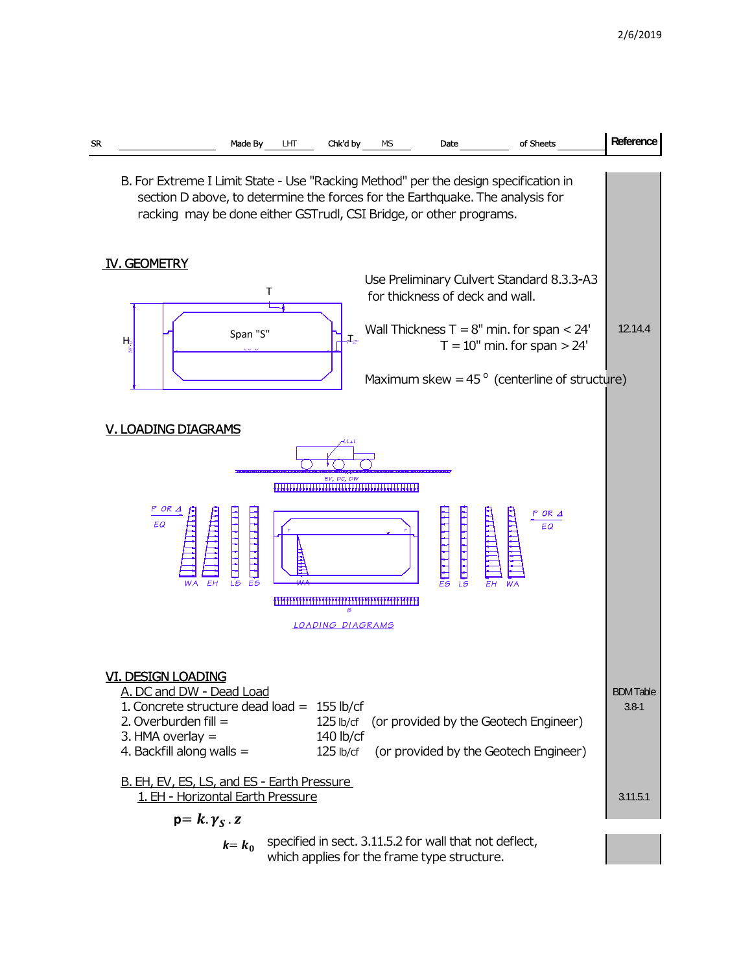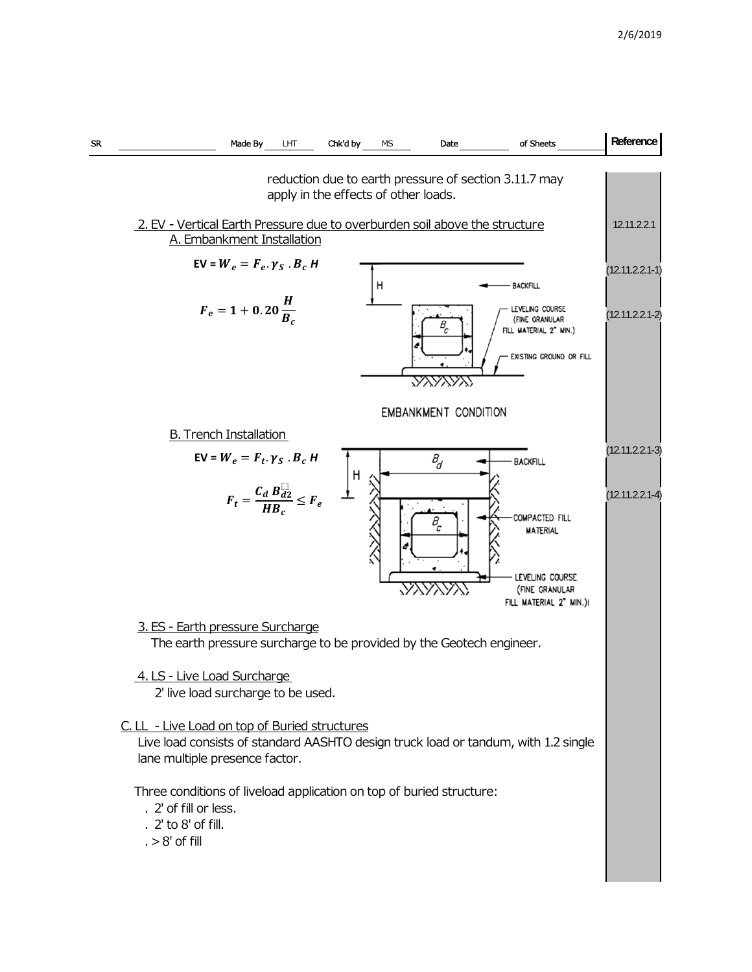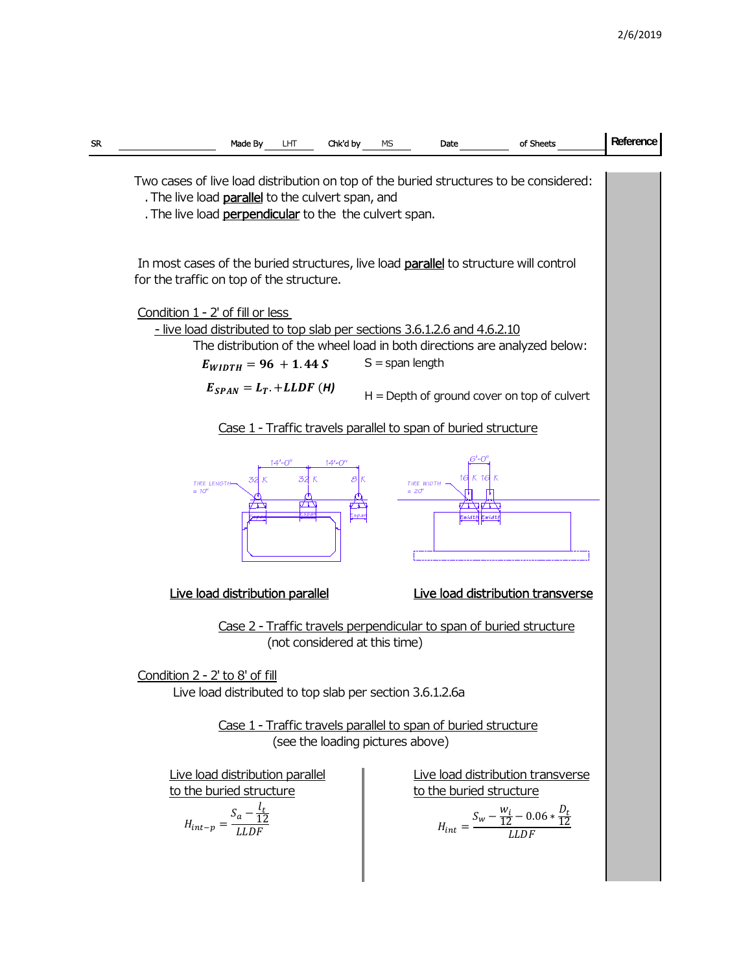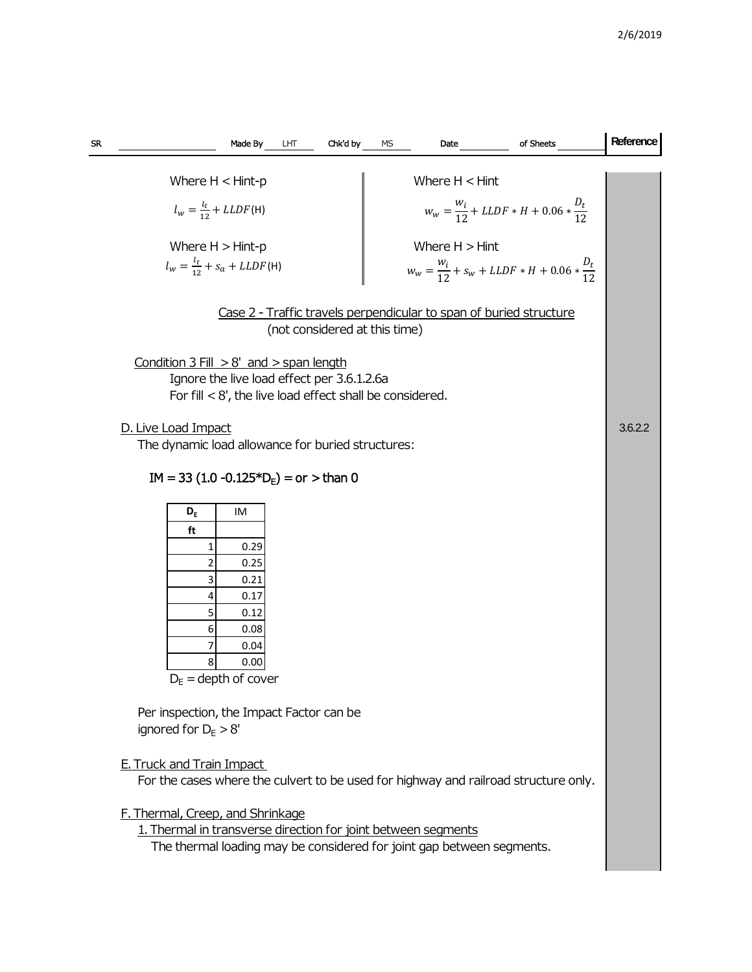| SR                                                                                                  | Chk'd by<br>Made By<br>LHT<br>MS<br>of Sheets<br>Date                                                     | Reference |  |  |  |  |  |  |  |  |  |
|-----------------------------------------------------------------------------------------------------|-----------------------------------------------------------------------------------------------------------|-----------|--|--|--|--|--|--|--|--|--|
|                                                                                                     |                                                                                                           |           |  |  |  |  |  |  |  |  |  |
|                                                                                                     | Where $H < H$ int<br>Where $H < H$ int-p                                                                  |           |  |  |  |  |  |  |  |  |  |
|                                                                                                     | $W_W = \frac{W_i}{12} + LLDF * H + 0.06 * \frac{D_t}{12}$<br>$l_w = \frac{l_t}{12} + LLDF(H)$             |           |  |  |  |  |  |  |  |  |  |
|                                                                                                     | Where $H > Hint-p$<br>Where $H > H$ int                                                                   |           |  |  |  |  |  |  |  |  |  |
|                                                                                                     | $l_w = \frac{l_t}{12} + s_a + LLDF(H)$<br>$W_w = \frac{W_i}{12} + S_w + LLDF * H + 0.06 * \frac{D_t}{12}$ |           |  |  |  |  |  |  |  |  |  |
| Case 2 - Traffic travels perpendicular to span of buried structure<br>(not considered at this time) |                                                                                                           |           |  |  |  |  |  |  |  |  |  |
|                                                                                                     | Condition $3$ Fill $> 8'$ and $>$ span length                                                             |           |  |  |  |  |  |  |  |  |  |
|                                                                                                     | Ignore the live load effect per 3.6.1.2.6a<br>For fill $< 8'$ , the live load effect shall be considered. |           |  |  |  |  |  |  |  |  |  |
|                                                                                                     | D. Live Load Impact                                                                                       |           |  |  |  |  |  |  |  |  |  |
|                                                                                                     | The dynamic load allowance for buried structures:                                                         |           |  |  |  |  |  |  |  |  |  |
|                                                                                                     | $IM = 33 (1.0 -0.125*DF) = or > than 0$                                                                   |           |  |  |  |  |  |  |  |  |  |
|                                                                                                     | $D_E$<br>IM                                                                                               |           |  |  |  |  |  |  |  |  |  |
|                                                                                                     | ft                                                                                                        |           |  |  |  |  |  |  |  |  |  |
|                                                                                                     | 0.29<br>1<br>0.25<br>2                                                                                    |           |  |  |  |  |  |  |  |  |  |
|                                                                                                     | 3<br>0.21                                                                                                 |           |  |  |  |  |  |  |  |  |  |
|                                                                                                     | 0.17<br>4                                                                                                 |           |  |  |  |  |  |  |  |  |  |
|                                                                                                     | 5<br>0.12<br>0.08<br>6                                                                                    |           |  |  |  |  |  |  |  |  |  |
|                                                                                                     | 0.04                                                                                                      |           |  |  |  |  |  |  |  |  |  |
|                                                                                                     | 8<br>0.00                                                                                                 |           |  |  |  |  |  |  |  |  |  |
|                                                                                                     | $D_F =$ depth of cover                                                                                    |           |  |  |  |  |  |  |  |  |  |
|                                                                                                     | Per inspection, the Impact Factor can be                                                                  |           |  |  |  |  |  |  |  |  |  |
|                                                                                                     | ignored for $D_F > 8'$                                                                                    |           |  |  |  |  |  |  |  |  |  |
|                                                                                                     | <b>E. Truck and Train Impact</b>                                                                          |           |  |  |  |  |  |  |  |  |  |
|                                                                                                     | For the cases where the culvert to be used for highway and railroad structure only.                       |           |  |  |  |  |  |  |  |  |  |
|                                                                                                     | F. Thermal, Creep, and Shrinkage                                                                          |           |  |  |  |  |  |  |  |  |  |
|                                                                                                     | 1. Thermal in transverse direction for joint between segments                                             |           |  |  |  |  |  |  |  |  |  |
|                                                                                                     | The thermal loading may be considered for joint gap between segments.                                     |           |  |  |  |  |  |  |  |  |  |
|                                                                                                     |                                                                                                           |           |  |  |  |  |  |  |  |  |  |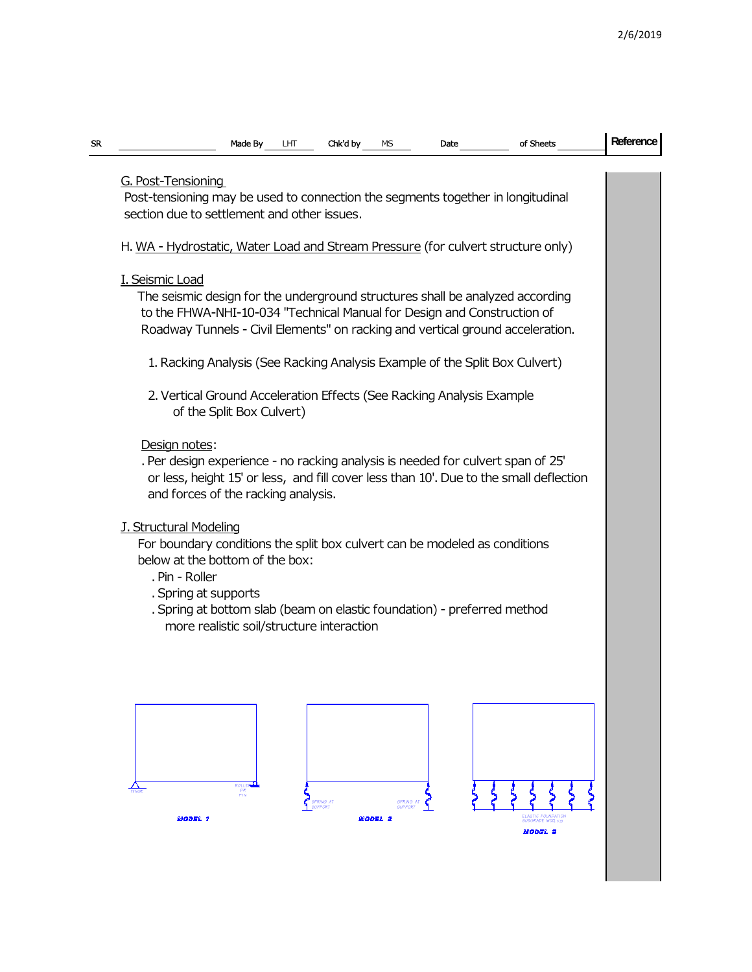| <b>SR</b> | Chk'd by<br>Made By<br>LНТ<br>of Sheets<br>МS<br>Date                                                                                                         |  | Reference |  |  |  |  |  |  |  |  |
|-----------|---------------------------------------------------------------------------------------------------------------------------------------------------------------|--|-----------|--|--|--|--|--|--|--|--|
|           |                                                                                                                                                               |  |           |  |  |  |  |  |  |  |  |
|           | G. Post-Tensioning<br>Post-tensioning may be used to connection the segments together in longitudinal                                                         |  |           |  |  |  |  |  |  |  |  |
|           | section due to settlement and other issues.                                                                                                                   |  |           |  |  |  |  |  |  |  |  |
|           |                                                                                                                                                               |  |           |  |  |  |  |  |  |  |  |
|           | H. WA - Hydrostatic, Water Load and Stream Pressure (for culvert structure only)                                                                              |  |           |  |  |  |  |  |  |  |  |
|           | I. Seismic Load                                                                                                                                               |  |           |  |  |  |  |  |  |  |  |
|           | The seismic design for the underground structures shall be analyzed according                                                                                 |  |           |  |  |  |  |  |  |  |  |
|           | to the FHWA-NHI-10-034 "Technical Manual for Design and Construction of                                                                                       |  |           |  |  |  |  |  |  |  |  |
|           | Roadway Tunnels - Civil Elements" on racking and vertical ground acceleration.<br>1. Racking Analysis (See Racking Analysis Example of the Split Box Culvert) |  |           |  |  |  |  |  |  |  |  |
|           |                                                                                                                                                               |  |           |  |  |  |  |  |  |  |  |
|           |                                                                                                                                                               |  |           |  |  |  |  |  |  |  |  |
|           | 2. Vertical Ground Acceleration Effects (See Racking Analysis Example<br>of the Split Box Culvert)                                                            |  |           |  |  |  |  |  |  |  |  |
|           | Design notes:                                                                                                                                                 |  |           |  |  |  |  |  |  |  |  |
|           | . Per design experience - no racking analysis is needed for culvert span of 25'                                                                               |  |           |  |  |  |  |  |  |  |  |
|           | or less, height 15' or less, and fill cover less than 10'. Due to the small deflection                                                                        |  |           |  |  |  |  |  |  |  |  |
|           | and forces of the racking analysis.                                                                                                                           |  |           |  |  |  |  |  |  |  |  |
|           | <b>J. Structural Modeling</b>                                                                                                                                 |  |           |  |  |  |  |  |  |  |  |
|           | For boundary conditions the split box culvert can be modeled as conditions                                                                                    |  |           |  |  |  |  |  |  |  |  |
|           | below at the bottom of the box:                                                                                                                               |  |           |  |  |  |  |  |  |  |  |
|           | . Pin - Roller                                                                                                                                                |  |           |  |  |  |  |  |  |  |  |
|           | . Spring at supports<br>. Spring at bottom slab (beam on elastic foundation) - preferred method                                                               |  |           |  |  |  |  |  |  |  |  |
|           | more realistic soil/structure interaction                                                                                                                     |  |           |  |  |  |  |  |  |  |  |
|           |                                                                                                                                                               |  |           |  |  |  |  |  |  |  |  |
|           |                                                                                                                                                               |  |           |  |  |  |  |  |  |  |  |
|           |                                                                                                                                                               |  |           |  |  |  |  |  |  |  |  |
|           |                                                                                                                                                               |  |           |  |  |  |  |  |  |  |  |
|           |                                                                                                                                                               |  |           |  |  |  |  |  |  |  |  |
|           |                                                                                                                                                               |  |           |  |  |  |  |  |  |  |  |
|           |                                                                                                                                                               |  |           |  |  |  |  |  |  |  |  |
|           | ROLLER<br><b>PIN</b>                                                                                                                                          |  |           |  |  |  |  |  |  |  |  |
|           | <b>SPEING AT</b><br><b>SPRING AT</b><br><b>SUPPORT</b><br><b>FLASTIC FOUNDATIO</b><br><b>MODEL 1</b><br><b>MODEL 2</b>                                        |  |           |  |  |  |  |  |  |  |  |
|           | SUBGRADE MOD. KS<br><b>MODEL 3</b>                                                                                                                            |  |           |  |  |  |  |  |  |  |  |
|           |                                                                                                                                                               |  |           |  |  |  |  |  |  |  |  |
|           |                                                                                                                                                               |  |           |  |  |  |  |  |  |  |  |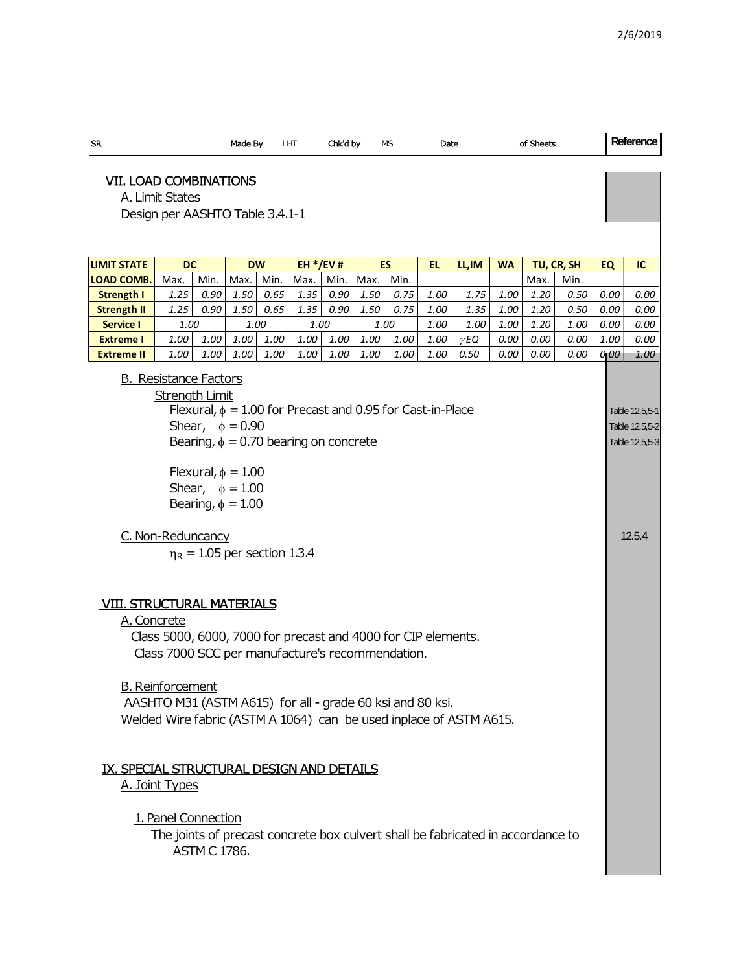| SR.                                                                                                                                                                                                                                                                                                                                                                                                                                                                                                                                                                                                                                                                                                                                                                                                                                                                  |      |      | Made By |      | LHT  | Chk'd by |      | МS   | Date |             |      | of Sheets |                                                              |      | Reference |
|----------------------------------------------------------------------------------------------------------------------------------------------------------------------------------------------------------------------------------------------------------------------------------------------------------------------------------------------------------------------------------------------------------------------------------------------------------------------------------------------------------------------------------------------------------------------------------------------------------------------------------------------------------------------------------------------------------------------------------------------------------------------------------------------------------------------------------------------------------------------|------|------|---------|------|------|----------|------|------|------|-------------|------|-----------|--------------------------------------------------------------|------|-----------|
| <b>VII. LOAD COMBINATIONS</b><br>A. Limit States<br>Design per AASHTO Table 3.4.1-1                                                                                                                                                                                                                                                                                                                                                                                                                                                                                                                                                                                                                                                                                                                                                                                  |      |      |         |      |      |          |      |      |      |             |      |           |                                                              |      |           |
| <b>LIMIT STATE</b><br><b>DW</b><br>$EH * / EV #$<br><b>DC</b><br>ES<br>LL, IM<br>TU, CR, SH<br>EL<br><b>WA</b>                                                                                                                                                                                                                                                                                                                                                                                                                                                                                                                                                                                                                                                                                                                                                       |      |      |         |      |      |          |      |      |      |             |      |           |                                                              |      |           |
| <b>LOAD COMB</b>                                                                                                                                                                                                                                                                                                                                                                                                                                                                                                                                                                                                                                                                                                                                                                                                                                                     | Max. | Min. | Max.    | Min. | Max. | Min.     | Max. | Min. |      |             |      | Max.      | Min.                                                         | EQ   | IC        |
| Strength I                                                                                                                                                                                                                                                                                                                                                                                                                                                                                                                                                                                                                                                                                                                                                                                                                                                           | 1.25 | 0.90 | 1.50    | 0.65 | 1.35 | 0.90     | 1.50 | 0.75 | 1.00 | 1.75        | 1.00 | 1.20      | 0.50                                                         | 0.00 | 0.00      |
| <b>Strength II</b>                                                                                                                                                                                                                                                                                                                                                                                                                                                                                                                                                                                                                                                                                                                                                                                                                                                   | 1.25 | 0.90 | 1.50    | 0.65 | 1.35 | 0.90     | 1.50 | 0.75 | 1.00 | 1.35        | 1.00 | 1.20      | 0.50                                                         | 0.00 | 0.00      |
| <b>Service I</b>                                                                                                                                                                                                                                                                                                                                                                                                                                                                                                                                                                                                                                                                                                                                                                                                                                                     | 1.00 |      | 1.00    |      | 1.00 |          | 1.00 |      | 1.00 | 1.00        | 1.00 | 1.20      | 1.00                                                         | 0.00 | 0.00      |
| <b>Extreme I</b>                                                                                                                                                                                                                                                                                                                                                                                                                                                                                                                                                                                                                                                                                                                                                                                                                                                     | 1.00 | 1.00 | 1.00    | 1.00 | 1.00 | 1.00     | 1.00 | 1.00 | 1.00 | $\gamma$ EQ | 0.00 | 0.00      | 0.00                                                         | 1.00 | 0.00      |
| <b>Extreme II</b>                                                                                                                                                                                                                                                                                                                                                                                                                                                                                                                                                                                                                                                                                                                                                                                                                                                    | 1.00 | 1.00 | 1.00    | 1.00 | 1.00 | 1.00     | 1.00 | 1.00 | 1.00 | 0.50        | 0.00 | 0.00      | 0.00                                                         | 0,00 | 1.00      |
| <b>B.</b> Resistance Factors<br>Strength Limit<br>Flexural, $\phi = 1.00$ for Precast and 0.95 for Cast-in-Place<br>Shear, $\phi = 0.90$<br>Bearing, $\phi = 0.70$ bearing on concrete<br>Flexural, $\phi = 1.00$<br>Shear, $\phi = 1.00$<br>Bearing, $\phi = 1.00$<br>C. Non-Reduncancy<br>$\eta_R = 1.05$ per section 1.3.4<br><b>VIII. STRUCTURAL MATERIALS</b><br>A. Concrete<br>Class 5000, 6000, 7000 for precast and 4000 for CIP elements.<br>Class 7000 SCC per manufacture's recommendation.<br><b>B.</b> Reinforcement<br>AASHTO M31 (ASTM A615) for all - grade 60 ksi and 80 ksi.<br>Welded Wire fabric (ASTM A 1064) can be used inplace of ASTM A615.<br>IX. SPECIAL STRUCTURAL DESIGN AND DETAILS<br>A. Joint Types<br>1. Panel Connection<br>The joints of precast concrete box culvert shall be fabricated in accordance to<br><b>ASTM C 1786.</b> |      |      |         |      |      |          |      |      |      |             |      |           | Table 12,5,5-1<br>Table 12,5,5-2<br>Table 12,5,5-3<br>12.5.4 |      |           |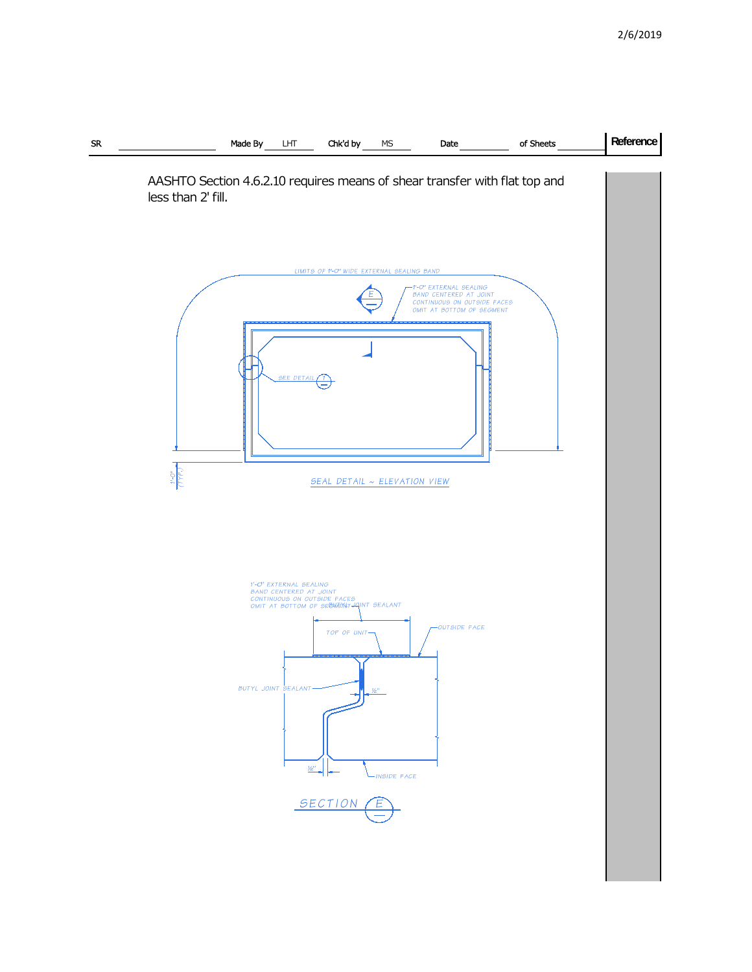